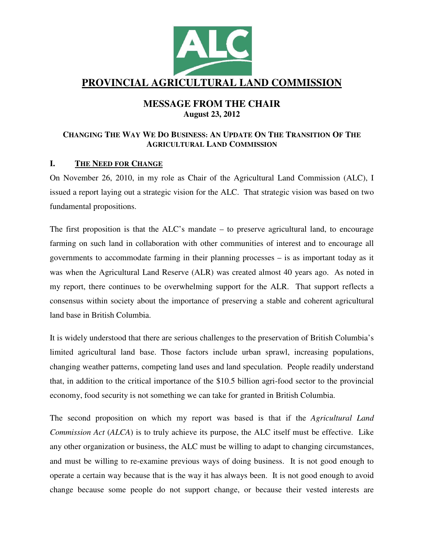

# **PROVINCIAL AGRICULTURAL LAND COMMISSION**

## **MESSAGE FROM THE CHAIR August 23, 2012**

## CHANGING THE WAY WE DO BUSINESS: AN UPDATE ON THE TRANSITION OF THE **AGRICULTURAL LAND COMMISSION**

## **I. THE NEED FOR CHANGE**

On November 26, 2010, in my role as Chair of the Agricultural Land Commission (ALC), I issued a report laying out a strategic vision for the ALC. That strategic vision was based on two fundamental propositions.

The first proposition is that the ALC's mandate – to preserve agricultural land, to encourage farming on such land in collaboration with other communities of interest and to encourage all governments to accommodate farming in their planning processes – is as important today as it was when the Agricultural Land Reserve (ALR) was created almost 40 years ago. As noted in my report, there continues to be overwhelming support for the ALR. That support reflects a consensus within society about the importance of preserving a stable and coherent agricultural land base in British Columbia.

It is widely understood that there are serious challenges to the preservation of British Columbia's limited agricultural land base. Those factors include urban sprawl, increasing populations, changing weather patterns, competing land uses and land speculation. People readily understand that, in addition to the critical importance of the \$10.5 billion agri-food sector to the provincial economy, food security is not something we can take for granted in British Columbia.

The second proposition on which my report was based is that if the *Agricultural Land Commission Act* (*ALCA*) is to truly achieve its purpose, the ALC itself must be effective. Like any other organization or business, the ALC must be willing to adapt to changing circumstances, and must be willing to re-examine previous ways of doing business. It is not good enough to operate a certain way because that is the way it has always been. It is not good enough to avoid change because some people do not support change, or because their vested interests are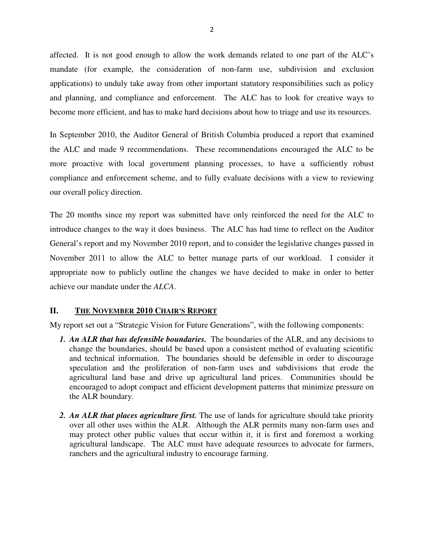affected. It is not good enough to allow the work demands related to one part of the ALC's mandate (for example, the consideration of non-farm use, subdivision and exclusion applications) to unduly take away from other important statutory responsibilities such as policy and planning, and compliance and enforcement. The ALC has to look for creative ways to become more efficient, and has to make hard decisions about how to triage and use its resources.

In September 2010, the Auditor General of British Columbia produced a report that examined the ALC and made 9 recommendations. These recommendations encouraged the ALC to be more proactive with local government planning processes, to have a sufficiently robust compliance and enforcement scheme, and to fully evaluate decisions with a view to reviewing our overall policy direction.

The 20 months since my report was submitted have only reinforced the need for the ALC to introduce changes to the way it does business. The ALC has had time to reflect on the Auditor General's report and my November 2010 report, and to consider the legislative changes passed in November 2011 to allow the ALC to better manage parts of our workload. I consider it appropriate now to publicly outline the changes we have decided to make in order to better achieve our mandate under the *ALCA*.

## **II. THE NOVEMBER 2010 CHAIR'S REPORT**

My report set out a "Strategic Vision for Future Generations", with the following components:

- *1. An ALR that has defensible boundaries.* The boundaries of the ALR, and any decisions to change the boundaries, should be based upon a consistent method of evaluating scientific and technical information. The boundaries should be defensible in order to discourage speculation and the proliferation of non-farm uses and subdivisions that erode the agricultural land base and drive up agricultural land prices. Communities should be encouraged to adopt compact and efficient development patterns that minimize pressure on the ALR boundary.
- *2. An ALR that places agriculture first.* The use of lands for agriculture should take priority over all other uses within the ALR. Although the ALR permits many non-farm uses and may protect other public values that occur within it, it is first and foremost a working agricultural landscape. The ALC must have adequate resources to advocate for farmers, ranchers and the agricultural industry to encourage farming.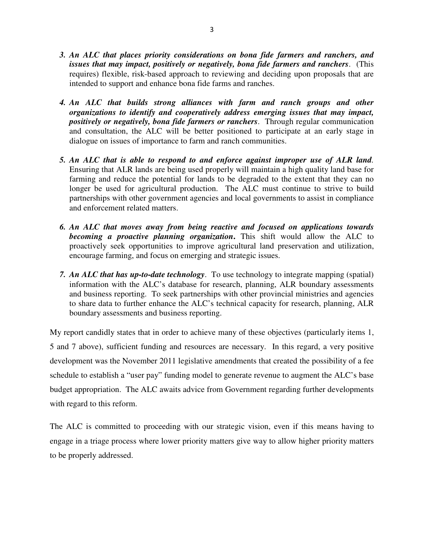- *3. An ALC that places priority considerations on bona fide farmers and ranchers, and issues that may impact, positively or negatively, bona fide farmers and ranchers*. (This requires) flexible, risk-based approach to reviewing and deciding upon proposals that are intended to support and enhance bona fide farms and ranches.
- *4. An ALC that builds strong alliances with farm and ranch groups and other organizations to identify and cooperatively address emerging issues that may impact, positively or negatively, bona fide farmers or ranchers*. Through regular communication and consultation, the ALC will be better positioned to participate at an early stage in dialogue on issues of importance to farm and ranch communities.
- *5. An ALC that is able to respond to and enforce against improper use of ALR land.* Ensuring that ALR lands are being used properly will maintain a high quality land base for farming and reduce the potential for lands to be degraded to the extent that they can no longer be used for agricultural production. The ALC must continue to strive to build partnerships with other government agencies and local governments to assist in compliance and enforcement related matters.
- *6. An ALC that moves away from being reactive and focused on applications towards becoming a proactive planning organization***.** This shift would allow the ALC to proactively seek opportunities to improve agricultural land preservation and utilization, encourage farming, and focus on emerging and strategic issues.
- *7. An ALC that has up-to-date technology*. To use technology to integrate mapping (spatial) information with the ALC's database for research, planning, ALR boundary assessments and business reporting. To seek partnerships with other provincial ministries and agencies to share data to further enhance the ALC's technical capacity for research, planning, ALR boundary assessments and business reporting.

My report candidly states that in order to achieve many of these objectives (particularly items 1, 5 and 7 above), sufficient funding and resources are necessary. In this regard, a very positive development was the November 2011 legislative amendments that created the possibility of a fee schedule to establish a "user pay" funding model to generate revenue to augment the ALC's base budget appropriation. The ALC awaits advice from Government regarding further developments with regard to this reform.

The ALC is committed to proceeding with our strategic vision, even if this means having to engage in a triage process where lower priority matters give way to allow higher priority matters to be properly addressed.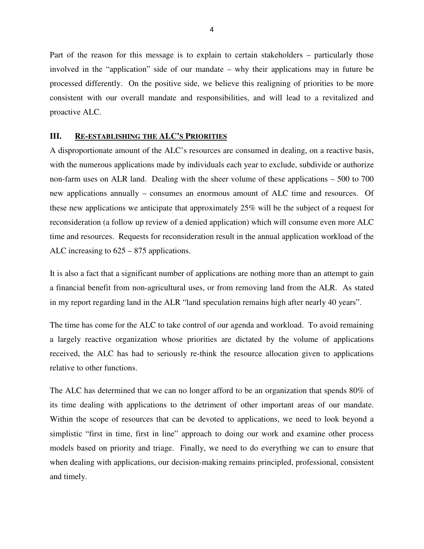Part of the reason for this message is to explain to certain stakeholders – particularly those involved in the "application" side of our mandate – why their applications may in future be processed differently. On the positive side, we believe this realigning of priorities to be more consistent with our overall mandate and responsibilities, and will lead to a revitalized and proactive ALC.

#### **III. RE-ESTABLISHING THE ALC'S PRIORITIES**

A disproportionate amount of the ALC's resources are consumed in dealing, on a reactive basis, with the numerous applications made by individuals each year to exclude, subdivide or authorize non-farm uses on ALR land. Dealing with the sheer volume of these applications – 500 to 700 new applications annually – consumes an enormous amount of ALC time and resources. Of these new applications we anticipate that approximately 25% will be the subject of a request for reconsideration (a follow up review of a denied application) which will consume even more ALC time and resources. Requests for reconsideration result in the annual application workload of the ALC increasing to 625 – 875 applications.

It is also a fact that a significant number of applications are nothing more than an attempt to gain a financial benefit from non-agricultural uses, or from removing land from the ALR. As stated in my report regarding land in the ALR "land speculation remains high after nearly 40 years".

The time has come for the ALC to take control of our agenda and workload. To avoid remaining a largely reactive organization whose priorities are dictated by the volume of applications received, the ALC has had to seriously re-think the resource allocation given to applications relative to other functions.

The ALC has determined that we can no longer afford to be an organization that spends 80% of its time dealing with applications to the detriment of other important areas of our mandate. Within the scope of resources that can be devoted to applications, we need to look beyond a simplistic "first in time, first in line" approach to doing our work and examine other process models based on priority and triage. Finally, we need to do everything we can to ensure that when dealing with applications, our decision-making remains principled, professional, consistent and timely.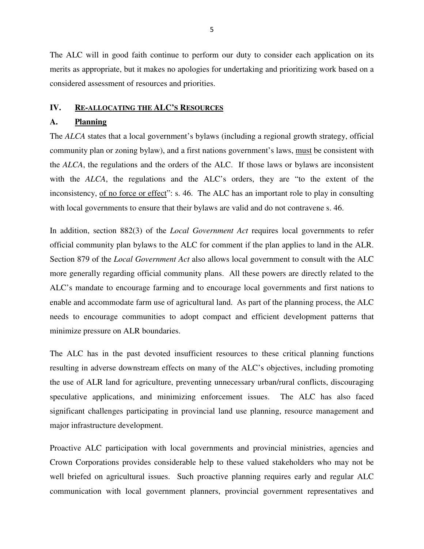The ALC will in good faith continue to perform our duty to consider each application on its merits as appropriate, but it makes no apologies for undertaking and prioritizing work based on a considered assessment of resources and priorities.

## **IV. RE-ALLOCATING THE ALC'S RESOURCES**

## **A. Planning**

The *ALCA* states that a local government's bylaws (including a regional growth strategy, official community plan or zoning bylaw), and a first nations government's laws, must be consistent with the *ALCA*, the regulations and the orders of the ALC. If those laws or bylaws are inconsistent with the *ALCA*, the regulations and the ALC's orders, they are "to the extent of the inconsistency, of no force or effect": s. 46. The ALC has an important role to play in consulting with local governments to ensure that their bylaws are valid and do not contravene s. 46.

In addition, section 882(3) of the *Local Government Act* requires local governments to refer official community plan bylaws to the ALC for comment if the plan applies to land in the ALR. Section 879 of the *Local Government Act* also allows local government to consult with the ALC more generally regarding official community plans. All these powers are directly related to the ALC's mandate to encourage farming and to encourage local governments and first nations to enable and accommodate farm use of agricultural land. As part of the planning process, the ALC needs to encourage communities to adopt compact and efficient development patterns that minimize pressure on ALR boundaries.

The ALC has in the past devoted insufficient resources to these critical planning functions resulting in adverse downstream effects on many of the ALC's objectives, including promoting the use of ALR land for agriculture, preventing unnecessary urban/rural conflicts, discouraging speculative applications, and minimizing enforcement issues. The ALC has also faced significant challenges participating in provincial land use planning, resource management and major infrastructure development.

Proactive ALC participation with local governments and provincial ministries, agencies and Crown Corporations provides considerable help to these valued stakeholders who may not be well briefed on agricultural issues. Such proactive planning requires early and regular ALC communication with local government planners, provincial government representatives and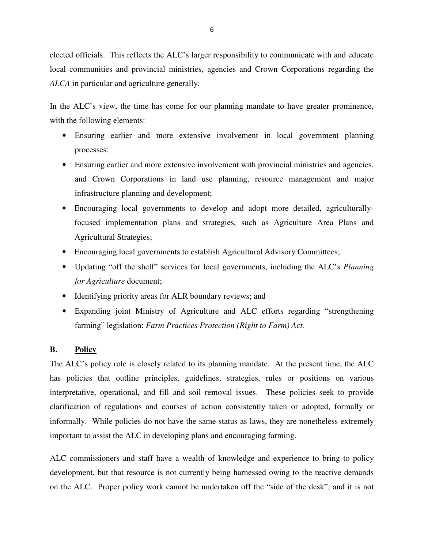elected officials. This reflects the ALC's larger responsibility to communicate with and educate local communities and provincial ministries, agencies and Crown Corporations regarding the *ALCA* in particular and agriculture generally.

In the ALC's view, the time has come for our planning mandate to have greater prominence, with the following elements:

- Ensuring earlier and more extensive involvement in local government planning processes;
- Ensuring earlier and more extensive involvement with provincial ministries and agencies, and Crown Corporations in land use planning, resource management and major infrastructure planning and development;
- Encouraging local governments to develop and adopt more detailed, agriculturallyfocused implementation plans and strategies, such as Agriculture Area Plans and Agricultural Strategies;
- Encouraging local governments to establish Agricultural Advisory Committees;
- Updating "off the shelf" services for local governments, including the ALC's *Planning for Agriculture* document;
- Identifying priority areas for ALR boundary reviews; and
- Expanding joint Ministry of Agriculture and ALC efforts regarding "strengthening farming" legislation: *Farm Practices Protection (Right to Farm) Act.*

## **B. Policy**

The ALC's policy role is closely related to its planning mandate. At the present time, the ALC has policies that outline principles, guidelines, strategies, rules or positions on various interpretative, operational, and fill and soil removal issues. These policies seek to provide clarification of regulations and courses of action consistently taken or adopted, formally or informally. While policies do not have the same status as laws, they are nonetheless extremely important to assist the ALC in developing plans and encouraging farming.

ALC commissioners and staff have a wealth of knowledge and experience to bring to policy development, but that resource is not currently being harnessed owing to the reactive demands on the ALC. Proper policy work cannot be undertaken off the "side of the desk", and it is not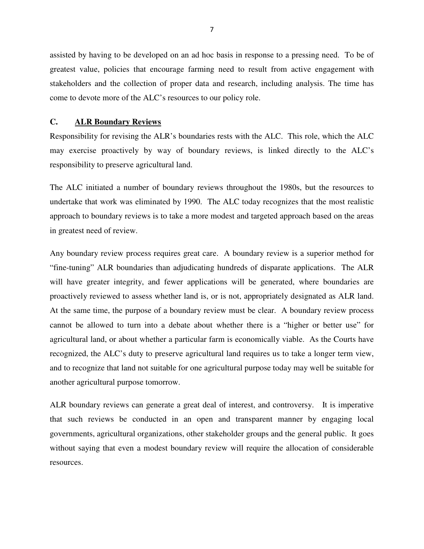assisted by having to be developed on an ad hoc basis in response to a pressing need. To be of greatest value, policies that encourage farming need to result from active engagement with stakeholders and the collection of proper data and research, including analysis. The time has come to devote more of the ALC's resources to our policy role.

## **C. ALR Boundary Reviews**

Responsibility for revising the ALR's boundaries rests with the ALC. This role, which the ALC may exercise proactively by way of boundary reviews, is linked directly to the ALC's responsibility to preserve agricultural land.

The ALC initiated a number of boundary reviews throughout the 1980s, but the resources to undertake that work was eliminated by 1990. The ALC today recognizes that the most realistic approach to boundary reviews is to take a more modest and targeted approach based on the areas in greatest need of review.

Any boundary review process requires great care. A boundary review is a superior method for "fine-tuning" ALR boundaries than adjudicating hundreds of disparate applications. The ALR will have greater integrity, and fewer applications will be generated, where boundaries are proactively reviewed to assess whether land is, or is not, appropriately designated as ALR land. At the same time, the purpose of a boundary review must be clear. A boundary review process cannot be allowed to turn into a debate about whether there is a "higher or better use" for agricultural land, or about whether a particular farm is economically viable. As the Courts have recognized, the ALC's duty to preserve agricultural land requires us to take a longer term view, and to recognize that land not suitable for one agricultural purpose today may well be suitable for another agricultural purpose tomorrow.

ALR boundary reviews can generate a great deal of interest, and controversy. It is imperative that such reviews be conducted in an open and transparent manner by engaging local governments, agricultural organizations, other stakeholder groups and the general public. It goes without saying that even a modest boundary review will require the allocation of considerable resources.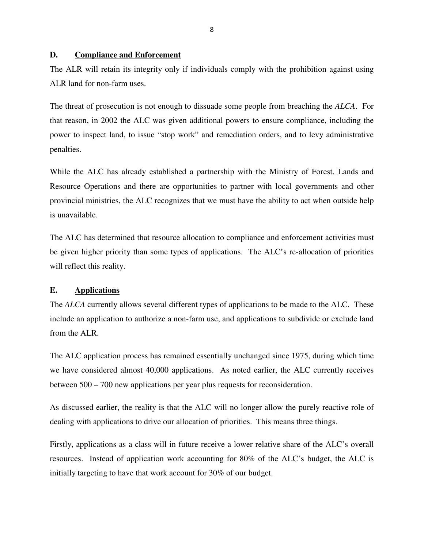## **D. Compliance and Enforcement**

The ALR will retain its integrity only if individuals comply with the prohibition against using ALR land for non-farm uses.

The threat of prosecution is not enough to dissuade some people from breaching the *ALCA*. For that reason, in 2002 the ALC was given additional powers to ensure compliance, including the power to inspect land, to issue "stop work" and remediation orders, and to levy administrative penalties.

While the ALC has already established a partnership with the Ministry of Forest, Lands and Resource Operations and there are opportunities to partner with local governments and other provincial ministries, the ALC recognizes that we must have the ability to act when outside help is unavailable.

The ALC has determined that resource allocation to compliance and enforcement activities must be given higher priority than some types of applications. The ALC's re-allocation of priorities will reflect this reality.

#### **E. Applications**

The *ALCA* currently allows several different types of applications to be made to the ALC. These include an application to authorize a non-farm use, and applications to subdivide or exclude land from the ALR.

The ALC application process has remained essentially unchanged since 1975, during which time we have considered almost 40,000 applications. As noted earlier, the ALC currently receives between 500 – 700 new applications per year plus requests for reconsideration.

As discussed earlier, the reality is that the ALC will no longer allow the purely reactive role of dealing with applications to drive our allocation of priorities. This means three things.

Firstly, applications as a class will in future receive a lower relative share of the ALC's overall resources. Instead of application work accounting for 80% of the ALC's budget, the ALC is initially targeting to have that work account for 30% of our budget.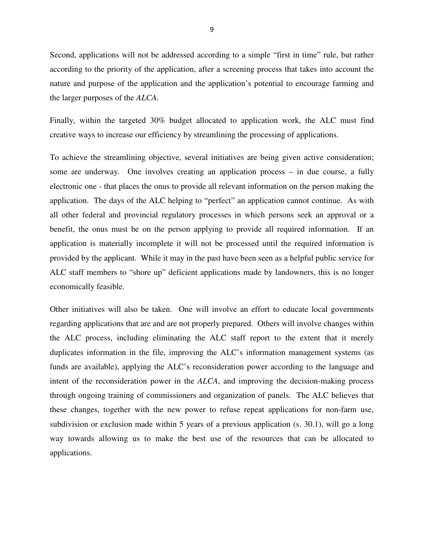Second, applications will not be addressed according to a simple "first in time" rule, but rather according to the priority of the application, after a screening process that takes into account the nature and purpose of the application and the application's potential to encourage farming and the larger purposes of the *ALCA*.

Finally, within the targeted 30% budget allocated to application work, the ALC must find creative ways to increase our efficiency by streamlining the processing of applications.

To achieve the streamlining objective, several initiatives are being given active consideration; some are underway. One involves creating an application process – in due course, a fully electronic one - that places the onus to provide all relevant information on the person making the application. The days of the ALC helping to "perfect" an application cannot continue. As with all other federal and provincial regulatory processes in which persons seek an approval or a benefit, the onus must be on the person applying to provide all required information. If an application is materially incomplete it will not be processed until the required information is provided by the applicant. While it may in the past have been seen as a helpful public service for ALC staff members to "shore up" deficient applications made by landowners, this is no longer economically feasible.

Other initiatives will also be taken. One will involve an effort to educate local governments regarding applications that are and are not properly prepared. Others will involve changes within the ALC process, including eliminating the ALC staff report to the extent that it merely duplicates information in the file, improving the ALC's information management systems (as funds are available), applying the ALC's reconsideration power according to the language and intent of the reconsideration power in the *ALCA*, and improving the decision-making process through ongoing training of commissioners and organization of panels. The ALC believes that these changes, together with the new power to refuse repeat applications for non-farm use, subdivision or exclusion made within 5 years of a previous application (s. 30.1), will go a long way towards allowing us to make the best use of the resources that can be allocated to applications.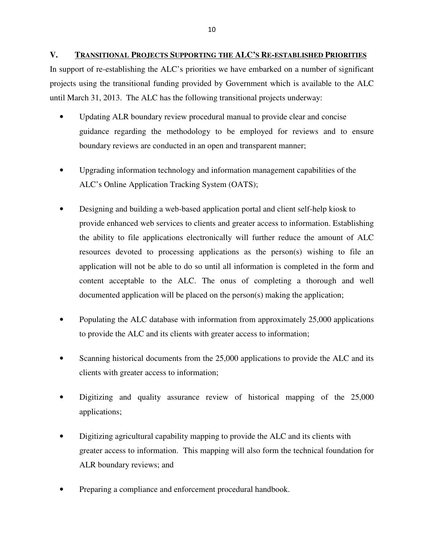**V. TRANSITIONAL PROJECTS SUPPORTING THE ALC'S RE-ESTABLISHED PRIORITIES**

In support of re-establishing the ALC's priorities we have embarked on a number of significant projects using the transitional funding provided by Government which is available to the ALC until March 31, 2013. The ALC has the following transitional projects underway:

- Updating ALR boundary review procedural manual to provide clear and concise guidance regarding the methodology to be employed for reviews and to ensure boundary reviews are conducted in an open and transparent manner;
- Upgrading information technology and information management capabilities of the ALC's Online Application Tracking System (OATS);
- Designing and building a web-based application portal and client self-help kiosk to provide enhanced web services to clients and greater access to information. Establishing the ability to file applications electronically will further reduce the amount of ALC resources devoted to processing applications as the person(s) wishing to file an application will not be able to do so until all information is completed in the form and content acceptable to the ALC. The onus of completing a thorough and well documented application will be placed on the person(s) making the application;
- Populating the ALC database with information from approximately 25,000 applications to provide the ALC and its clients with greater access to information;
- Scanning historical documents from the 25,000 applications to provide the ALC and its clients with greater access to information;
- Digitizing and quality assurance review of historical mapping of the 25,000 applications;
- Digitizing agricultural capability mapping to provide the ALC and its clients with greater access to information. This mapping will also form the technical foundation for ALR boundary reviews; and
- Preparing a compliance and enforcement procedural handbook.